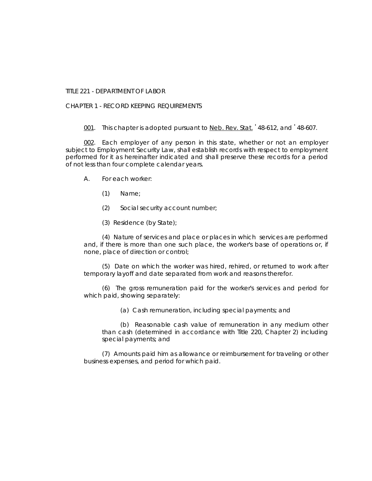TITLE 221 - DEPARTMENT OF LABOR

CHAPTER 1 - RECORD KEEPING REQUIREMENTS

001. This chapter is adopted pursuant to Neb. Rev. Stat. '48-612, and '48-607.

002. Each employer of any person in this state, whether or not an employer subject to Employment Security Law, shall establish records with respect to employment performed for it as hereinafter indicated and shall preserve these records for a period of not less than four complete calendar years.

- A. For each worker:
	- (1) Name;
	- (2) Social security account number;
	- (3) Residence (by State);

(4) Nature of services and place or places in which services are performed and, if there is more than one such place, the worker's base of operations or, if none, place of direction or control;

(5) Date on which the worker was hired, rehired, or returned to work after temporary layoff and date separated from work and reasons therefor.

(6) The gross remuneration paid for the worker's services and period for which paid, showing separately:

(a) Cash remuneration, including special payments; and

(b) Reasonable cash value of remuneration in any medium other than cash (determined in accordance with Title 220, Chapter 2) including special payments; and

(7) Amounts paid him as allowance or reimbursement for traveling or other business expenses, and period for which paid.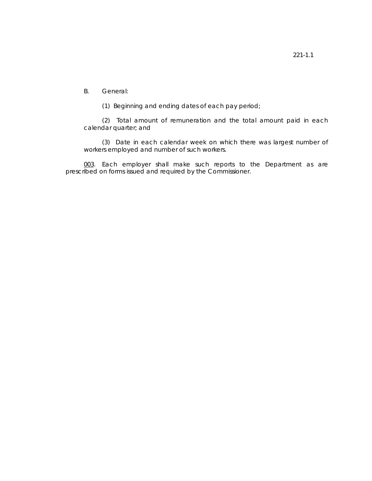- B. General:
	- (1) Beginning and ending dates of each pay period;

(2) Total amount of remuneration and the total amount paid in each calendar quarter; and

(3) Date in each calendar week on which there was largest number of workers employed and number of such workers.

003. Each employer shall make such reports to the Department as are prescribed on forms issued and required by the Commissioner.